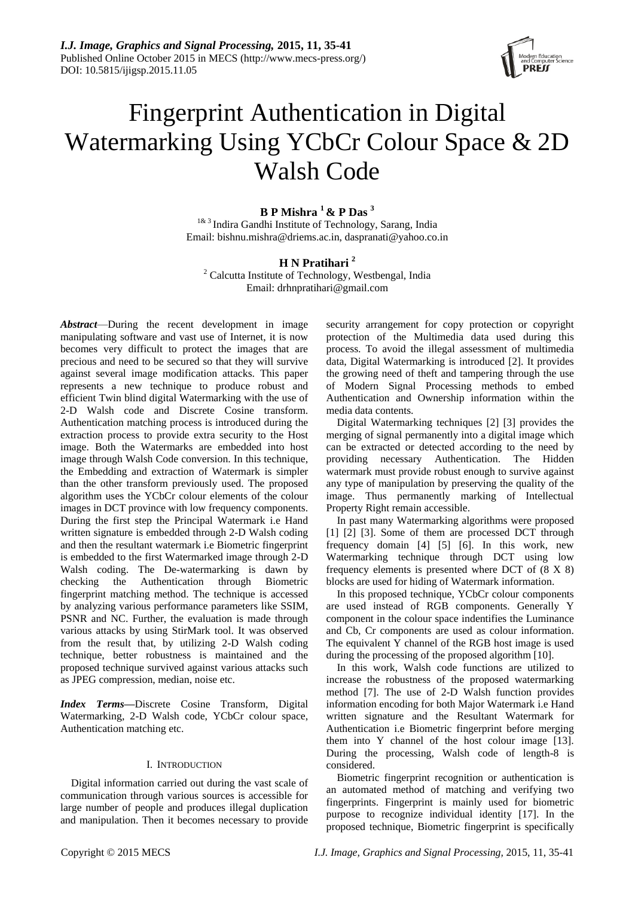

# Fingerprint Authentication in Digital Watermarking Using YCbCr Colour Space & 2D Walsh Code

# **B P Mishra <sup>1</sup> & P Das <sup>3</sup>**

<sup>1& 3</sup> Indira Gandhi Institute of Technology, Sarang, India Email: bishnu.mishra@driems.ac.in, daspranati@yahoo.co.in

# **H N Pratihari <sup>2</sup>**

<sup>2</sup> Calcutta Institute of Technology, Westbengal, India Email: drhnpratihari@gmail.com

*Abstract*—During the recent development in image manipulating software and vast use of Internet, it is now becomes very difficult to protect the images that are precious and need to be secured so that they will survive against several image modification attacks. This paper represents a new technique to produce robust and efficient Twin blind digital Watermarking with the use of 2-D Walsh code and Discrete Cosine transform. Authentication matching process is introduced during the extraction process to provide extra security to the Host image. Both the Watermarks are embedded into host image through Walsh Code conversion. In this technique, the Embedding and extraction of Watermark is simpler than the other transform previously used. The proposed algorithm uses the YCbCr colour elements of the colour images in DCT province with low frequency components. During the first step the Principal Watermark i.e Hand written signature is embedded through 2-D Walsh coding and then the resultant watermark i.e Biometric fingerprint is embedded to the first Watermarked image through 2-D Walsh coding. The De-watermarking is dawn by checking the Authentication through Biometric fingerprint matching method. The technique is accessed by analyzing various performance parameters like SSIM, PSNR and NC. Further, the evaluation is made through various attacks by using StirMark tool. It was observed from the result that, by utilizing 2-D Walsh coding technique, better robustness is maintained and the proposed technique survived against various attacks such as JPEG compression, median, noise etc.

*Index Terms***—**Discrete Cosine Transform, Digital Watermarking, 2-D Walsh code, YCbCr colour space, Authentication matching etc.

# I. INTRODUCTION

Digital information carried out during the vast scale of communication through various sources is accessible for large number of people and produces illegal duplication and manipulation. Then it becomes necessary to provide

security arrangement for copy protection or copyright protection of the Multimedia data used during this process. To avoid the illegal assessment of multimedia data, Digital Watermarking is introduced [2]. It provides the growing need of theft and tampering through the use of Modern Signal Processing methods to embed Authentication and Ownership information within the media data contents.

Digital Watermarking techniques [2] [3] provides the merging of signal permanently into a digital image which can be extracted or detected according to the need by providing necessary Authentication. The Hidden watermark must provide robust enough to survive against any type of manipulation by preserving the quality of the image. Thus permanently marking of Intellectual Property Right remain accessible.

In past many Watermarking algorithms were proposed [1] [2] [3]. Some of them are processed DCT through frequency domain [4] [5] [6]. In this work, new Watermarking technique through DCT using low frequency elements is presented where DCT of (8 X 8) blocks are used for hiding of Watermark information.

In this proposed technique, YCbCr colour components are used instead of RGB components. Generally Y component in the colour space indentifies the Luminance and Cb, Cr components are used as colour information. The equivalent Y channel of the RGB host image is used during the processing of the proposed algorithm [10].

In this work, Walsh code functions are utilized to increase the robustness of the proposed watermarking method [7]. The use of 2-D Walsh function provides information encoding for both Major Watermark i.e Hand written signature and the Resultant Watermark for Authentication i.e Biometric fingerprint before merging them into Y channel of the host colour image [13]. During the processing, Walsh code of length-8 is considered.

Biometric fingerprint recognition or authentication is an automated method of matching and verifying two fingerprints. Fingerprint is mainly used for biometric purpose to recognize individual identity [17]. In the proposed technique, Biometric fingerprint is specifically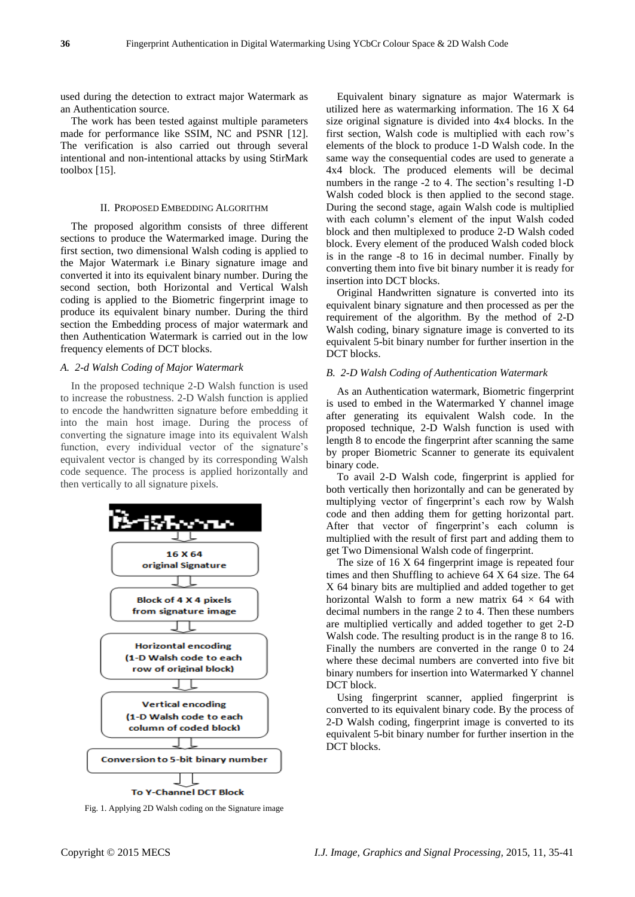used during the detection to extract major Watermark as an Authentication source.

The work has been tested against multiple parameters made for performance like SSIM, NC and PSNR [12]. The verification is also carried out through several intentional and non-intentional attacks by using StirMark toolbox [15].

#### II. PROPOSED EMBEDDING ALGORITHM

The proposed algorithm consists of three different sections to produce the Watermarked image. During the first section, two dimensional Walsh coding is applied to the Major Watermark i.e Binary signature image and converted it into its equivalent binary number. During the second section, both Horizontal and Vertical Walsh coding is applied to the Biometric fingerprint image to produce its equivalent binary number. During the third section the Embedding process of major watermark and then Authentication Watermark is carried out in the low frequency elements of DCT blocks.

#### *A. 2-d Walsh Coding of Major Watermark*

In the proposed technique 2-D Walsh function is used to increase the robustness. 2-D Walsh function is applied to encode the handwritten signature before embedding it into the main host image. During the process of converting the signature image into its equivalent Walsh function, every individual vector of the signature's equivalent vector is changed by its corresponding Walsh code sequence. The process is applied horizontally and then vertically to all signature pixels.



Fig. 1. Applying 2D Walsh coding on the Signature image

Equivalent binary signature as major Watermark is utilized here as watermarking information. The 16 X 64 size original signature is divided into 4x4 blocks. In the first section, Walsh code is multiplied with each row's elements of the block to produce 1-D Walsh code. In the same way the consequential codes are used to generate a 4x4 block. The produced elements will be decimal numbers in the range -2 to 4. The section's resulting 1-D Walsh coded block is then applied to the second stage. During the second stage, again Walsh code is multiplied with each column's element of the input Walsh coded block and then multiplexed to produce 2-D Walsh coded block. Every element of the produced Walsh coded block is in the range -8 to 16 in decimal number. Finally by converting them into five bit binary number it is ready for insertion into DCT blocks.

Original Handwritten signature is converted into its equivalent binary signature and then processed as per the requirement of the algorithm. By the method of 2-D Walsh coding, binary signature image is converted to its equivalent 5-bit binary number for further insertion in the DCT blocks.

# *B. 2-D Walsh Coding of Authentication Watermark*

As an Authentication watermark, Biometric fingerprint is used to embed in the Watermarked Y channel image after generating its equivalent Walsh code. In the proposed technique, 2-D Walsh function is used with length 8 to encode the fingerprint after scanning the same by proper Biometric Scanner to generate its equivalent binary code.

To avail 2-D Walsh code, fingerprint is applied for both vertically then horizontally and can be generated by multiplying vector of fingerprint's each row by Walsh code and then adding them for getting horizontal part. After that vector of fingerprint's each column is multiplied with the result of first part and adding them to get Two Dimensional Walsh code of fingerprint.

The size of 16 X 64 fingerprint image is repeated four times and then Shuffling to achieve 64 X 64 size. The 64 X 64 binary bits are multiplied and added together to get horizontal Walsh to form a new matrix  $64 \times 64$  with decimal numbers in the range 2 to 4. Then these numbers are multiplied vertically and added together to get 2-D Walsh code. The resulting product is in the range 8 to 16. Finally the numbers are converted in the range 0 to 24 where these decimal numbers are converted into five bit binary numbers for insertion into Watermarked Y channel DCT block.

Using fingerprint scanner, applied fingerprint is converted to its equivalent binary code. By the process of 2-D Walsh coding, fingerprint image is converted to its equivalent 5-bit binary number for further insertion in the DCT blocks.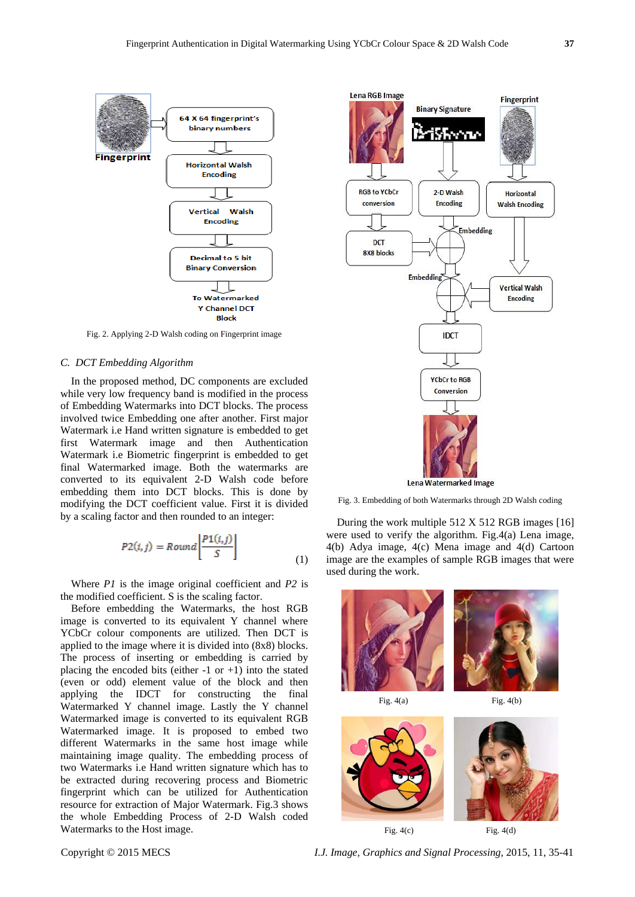

Fig. 2. Applying 2-D Walsh coding on Fingerprint image

#### *C. DCT Embedding Algorithm*

In the proposed method, DC components are excluded while very low frequency band is modified in the process of Embedding Watermarks into DCT blocks. The process involved twice Embedding one after another. First major Watermark i.e Hand written signature is embedded to get first Watermark image and then Authentication Watermark i.e Biometric fingerprint is embedded to get final Watermarked image. Both the watermarks are converted to its equivalent 2-D Walsh code before embedding them into DCT blocks. This is done by modifying the DCT coefficient value. First it is divided by a scaling factor and then rounded to an integer:

$$
P2(i,j) = Round \left[ \frac{P1(i,j)}{S} \right] \tag{1}
$$

Where *P1* is the image original coefficient and *P2* is the modified coefficient. S is the scaling factor.

Before embedding the Watermarks, the host RGB image is converted to its equivalent Y channel where YCbCr colour components are utilized. Then DCT is applied to the image where it is divided into (8x8) blocks. The process of inserting or embedding is carried by placing the encoded bits (either  $-1$  or  $+1$ ) into the stated (even or odd) element value of the block and then applying the IDCT for constructing the final Watermarked Y channel image. Lastly the Y channel Watermarked image is converted to its equivalent RGB Watermarked image. It is proposed to embed two different Watermarks in the same host image while maintaining image quality. The embedding process of two Watermarks i.e Hand written signature which has to be extracted during recovering process and Biometric fingerprint which can be utilized for Authentication resource for extraction of Major Watermark. Fig.3 shows the whole Embedding Process of 2-D Walsh coded Watermarks to the Host image.



Fig. 3. Embedding of both Watermarks through 2D Walsh coding

During the work multiple 512 X 512 RGB images [16] were used to verify the algorithm. Fig.4(a) Lena image, 4(b) Adya image, 4(c) Mena image and 4(d) Cartoon image are the examples of sample RGB images that were used during the work.



Copyright © 2015 MECS *I.J. Image, Graphics and Signal Processing,* 2015, 11, 35-41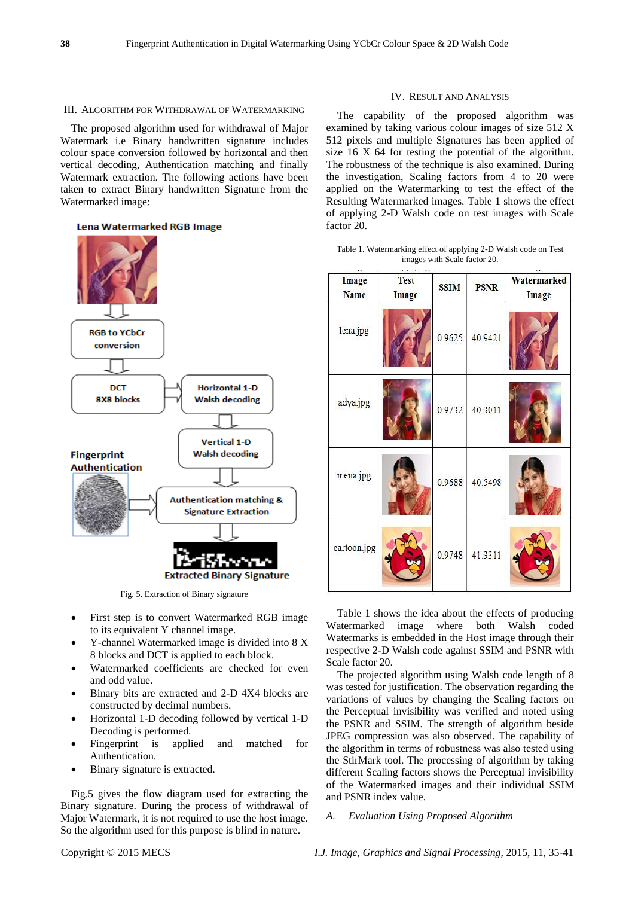#### III. ALGORITHM FOR WITHDRAWAL OF WATERMARKING

The proposed algorithm used for withdrawal of Major Watermark i.e Binary handwritten signature includes colour space conversion followed by horizontal and then vertical decoding, Authentication matching and finally Watermark extraction. The following actions have been taken to extract Binary handwritten Signature from the Watermarked image:

# Lena Watermarked RGB Image



Fig. 5. Extraction of Binary signature

- First step is to convert Watermarked RGB image to its equivalent Y channel image.
- Y-channel Watermarked image is divided into 8 X 8 blocks and DCT is applied to each block.
- Watermarked coefficients are checked for even and odd value.
- Binary bits are extracted and 2-D 4X4 blocks are constructed by decimal numbers.
- Horizontal 1-D decoding followed by vertical 1-D Decoding is performed.
- Fingerprint is applied and matched for Authentication.
- Binary signature is extracted.

Fig.5 gives the flow diagram used for extracting the Binary signature. During the process of withdrawal of Major Watermark, it is not required to use the host image. So the algorithm used for this purpose is blind in nature.

#### IV. RESULT AND ANALYSIS

The capability of the proposed algorithm was examined by taking various colour images of size 512 X 512 pixels and multiple Signatures has been applied of size 16 X 64 for testing the potential of the algorithm. The robustness of the technique is also examined. During the investigation, Scaling factors from 4 to 20 were applied on the Watermarking to test the effect of the Resulting Watermarked images. Table 1 shows the effect of applying 2-D Walsh code on test images with Scale factor 20.

Table 1. Watermarking effect of applying 2-D Walsh code on Test images with Scale factor 20.

| ×<br>Image<br><b>Name</b> | $\sim$ $\sim$<br><b>Test</b><br>Image | <b>SSIM</b> | <b>PSNR</b> | Watermarked<br>Image |
|---------------------------|---------------------------------------|-------------|-------------|----------------------|
| lena.jpg                  |                                       | 0.9625      | 40.9421     |                      |
| adya.jpg                  |                                       | 0.9732      | 40.3011     |                      |
| mena.jpg                  |                                       | 0.9688      | 40.5498     |                      |
| cartoon.jpg               |                                       | 0.9748      | 41.3311     |                      |

Table 1 shows the idea about the effects of producing Watermarked image where both Walsh coded Watermarks is embedded in the Host image through their respective 2-D Walsh code against SSIM and PSNR with Scale factor 20.

The projected algorithm using Walsh code length of 8 was tested for justification. The observation regarding the variations of values by changing the Scaling factors on the Perceptual invisibility was verified and noted using the PSNR and SSIM. The strength of algorithm beside JPEG compression was also observed. The capability of the algorithm in terms of robustness was also tested using the StirMark tool. The processing of algorithm by taking different Scaling factors shows the Perceptual invisibility of the Watermarked images and their individual SSIM and PSNR index value.

# *A. Evaluation Using Proposed Algorithm*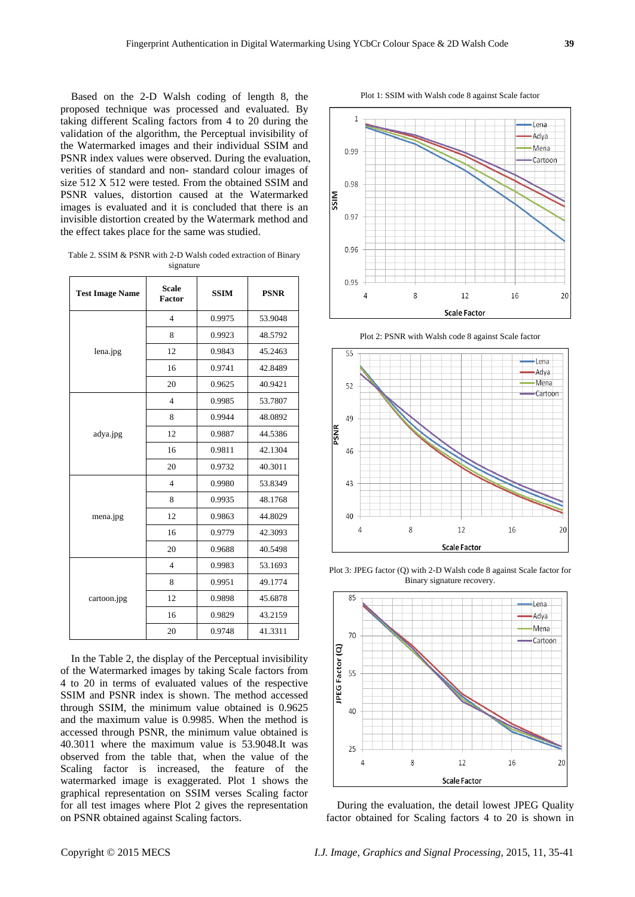Based on the 2-D Walsh coding of length 8, the proposed technique was processed and evaluated. By taking different Scaling factors from 4 to 20 during the validation of the algorithm, the Perceptual invisibility of the Watermarked images and their individual SSIM and PSNR index values were observed. During the evaluation, verities of standard and non- standard colour images of size 512 X 512 were tested. From the obtained SSIM and PSNR values, distortion caused at the Watermarked images is evaluated and it is concluded that there is an invisible distortion created by the Watermark method and the effect takes place for the same was studied.

Table 2. SSIM & PSNR with 2-D Walsh coded extraction of Binary signature

| <b>Test Image Name</b> | <b>Scale</b><br><b>Factor</b> | <b>SSIM</b> | <b>PSNR</b> |
|------------------------|-------------------------------|-------------|-------------|
|                        | $\overline{\mathbf{4}}$       | 0.9975      | 53.9048     |
| lena.jpg               | 8                             | 0.9923      | 48.5792     |
|                        | 12                            | 0.9843      | 45.2463     |
|                        | 16                            | 0.9741      | 42.8489     |
|                        | 20                            | 0.9625      | 40.9421     |
|                        | $\overline{4}$                | 0.9985      | 53.7807     |
|                        | 8                             | 0.9944      | 48.0892     |
| adya.jpg               | 12                            | 0.9887      | 44.5386     |
|                        | 16                            | 0.9811      | 42.1304     |
|                        | 20                            | 0.9732      | 40.3011     |
| mena.jpg               | $\overline{4}$                | 0.9980      | 53.8349     |
|                        | 8                             | 0.9935      | 48.1768     |
|                        | 12                            | 0.9863      | 44.8029     |
|                        | 16                            | 0.9779      | 42.3093     |
|                        | 20                            | 0.9688      | 40.5498     |
|                        | $\overline{4}$                | 0.9983      | 53.1693     |
|                        | 8                             | 0.9951      | 49.1774     |
| cartoon.jpg            | 12                            | 0.9898      | 45.6878     |
|                        | 16                            | 0.9829      | 43.2159     |
|                        | 20                            | 0.9748      | 41.3311     |

In the Table 2, the display of the Perceptual invisibility of the Watermarked images by taking Scale factors from 4 to 20 in terms of evaluated values of the respective SSIM and PSNR index is shown. The method accessed through SSIM, the minimum value obtained is 0.9625 and the maximum value is 0.9985. When the method is accessed through PSNR, the minimum value obtained is 40.3011 where the maximum value is 53.9048.It was observed from the table that, when the value of the Scaling factor is increased, the feature of the watermarked image is exaggerated. Plot 1 shows the graphical representation on SSIM verses Scaling factor for all test images where Plot 2 gives the representation on PSNR obtained against Scaling factors.

Plot 1: SSIM with Walsh code 8 against Scale factor



Plot 2: PSNR with Walsh code 8 against Scale factor



Plot 3: JPEG factor (Q) with 2-D Walsh code 8 against Scale factor for Binary signature recovery.



During the evaluation, the detail lowest JPEG Quality factor obtained for Scaling factors 4 to 20 is shown in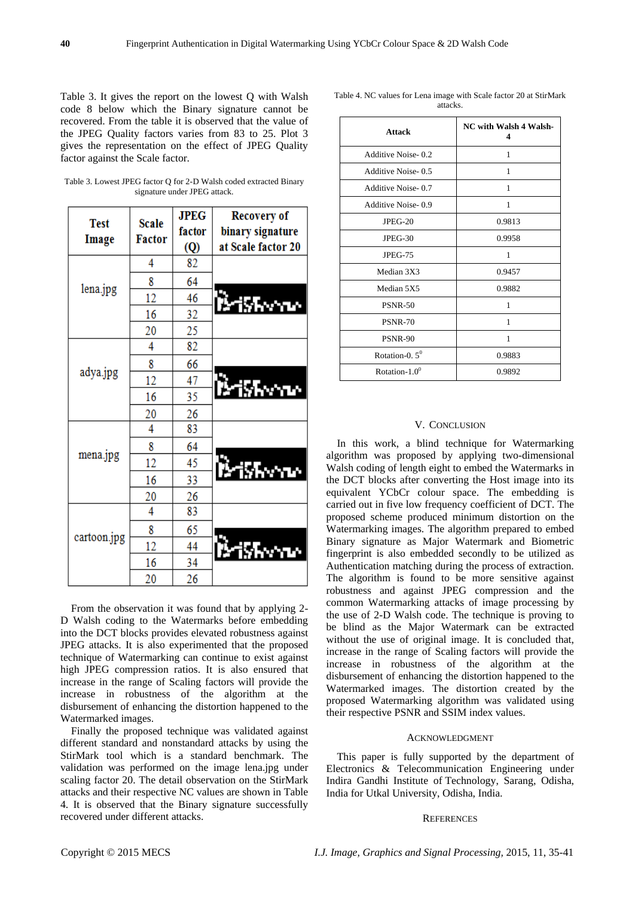Table 3. It gives the report on the lowest Q with Walsh code 8 below which the Binary signature cannot be recovered. From the table it is observed that the value of the JPEG Quality factors varies from 83 to 25. Plot 3 gives the representation on the effect of JPEG Quality factor against the Scale factor.

Table 3. Lowest JPEG factor Q for 2-D Walsh coded extracted Binary signature under JPEG attack.

|                      | <b>Scale</b><br><b>Factor</b> | <b>JPEG</b> | <b>Recovery of</b> |
|----------------------|-------------------------------|-------------|--------------------|
| <b>Test</b><br>Image |                               | factor      | binary signature   |
|                      |                               | <b>(Q)</b>  | at Scale factor 20 |
|                      | 4                             | 82          |                    |
|                      | 8                             | 64          |                    |
| lena.jpg             | 12                            | 46          | .<br>Miskone       |
|                      | 16                            | 32          |                    |
|                      | 20                            | 25          |                    |
| adya.jpg             | 4                             | 82          |                    |
|                      | 8                             | 66          |                    |
|                      | 12                            | 47          |                    |
|                      | 16                            | 35          | <b>Mishwan</b>     |
|                      | 20                            | 26          |                    |
|                      | 4                             | 83          |                    |
|                      | 8                             | 64          |                    |
| mena.jpg             | 12                            | 45          |                    |
|                      | 16                            | 33          | <b>Brishway</b>    |
|                      | 20                            | 26          |                    |
| cartoon.jpg          | 4                             | 83          |                    |
|                      | 8                             | 65          |                    |
|                      | 12                            | 44          | i va               |
|                      | 16                            | 34          |                    |
|                      | 20                            | 26          |                    |

From the observation it was found that by applying 2- D Walsh coding to the Watermarks before embedding into the DCT blocks provides elevated robustness against JPEG attacks. It is also experimented that the proposed technique of Watermarking can continue to exist against high JPEG compression ratios. It is also ensured that increase in the range of Scaling factors will provide the increase in robustness of the algorithm at the disbursement of enhancing the distortion happened to the Watermarked images.

Finally the proposed technique was validated against different standard and nonstandard attacks by using the StirMark tool which is a standard benchmark. The validation was performed on the image lena.jpg under scaling factor 20. The detail observation on the StirMark attacks and their respective NC values are shown in Table 4. It is observed that the Binary signature successfully recovered under different attacks.

Table 4. NC values for Lena image with Scale factor 20 at StirMark attacks.

| <b>Attack</b>      | <b>NC</b> with Walsh 4 Walsh-<br>4 |  |
|--------------------|------------------------------------|--|
| Additive Noise-0.2 | 1                                  |  |
| Additive Noise-0.5 | 1                                  |  |
| Additive Noise-0.7 | 1                                  |  |
| Additive Noise-0.9 | 1                                  |  |
| $JPEG-20$          | 0.9813                             |  |
| $JPEG-30$          | 0.9958                             |  |
| <b>JPEG-75</b>     | 1                                  |  |
| Median 3X3         | 0.9457                             |  |
| Median 5X5         | 0.9882                             |  |
| <b>PSNR-50</b>     | 1                                  |  |
| <b>PSNR-70</b>     | 1                                  |  |
| PSNR-90            | 1                                  |  |
| Rotation-0. $5^0$  | 0.9883                             |  |
| Rotation- $1.0^0$  | 0.9892                             |  |

# V. CONCLUSION

In this work, a blind technique for Watermarking algorithm was proposed by applying two-dimensional Walsh coding of length eight to embed the Watermarks in the DCT blocks after converting the Host image into its equivalent YCbCr colour space. The embedding is carried out in five low frequency coefficient of DCT. The proposed scheme produced minimum distortion on the Watermarking images. The algorithm prepared to embed Binary signature as Major Watermark and Biometric fingerprint is also embedded secondly to be utilized as Authentication matching during the process of extraction. The algorithm is found to be more sensitive against robustness and against JPEG compression and the common Watermarking attacks of image processing by the use of 2-D Walsh code. The technique is proving to be blind as the Major Watermark can be extracted without the use of original image. It is concluded that, increase in the range of Scaling factors will provide the increase in robustness of the algorithm at the disbursement of enhancing the distortion happened to the Watermarked images. The distortion created by the proposed Watermarking algorithm was validated using their respective PSNR and SSIM index values.

## ACKNOWLEDGMENT

This paper is fully supported by the department of Electronics & Telecommunication Engineering under Indira Gandhi Institute of Technology, Sarang, Odisha, India for Utkal University, Odisha, India.

#### **REFERENCES**